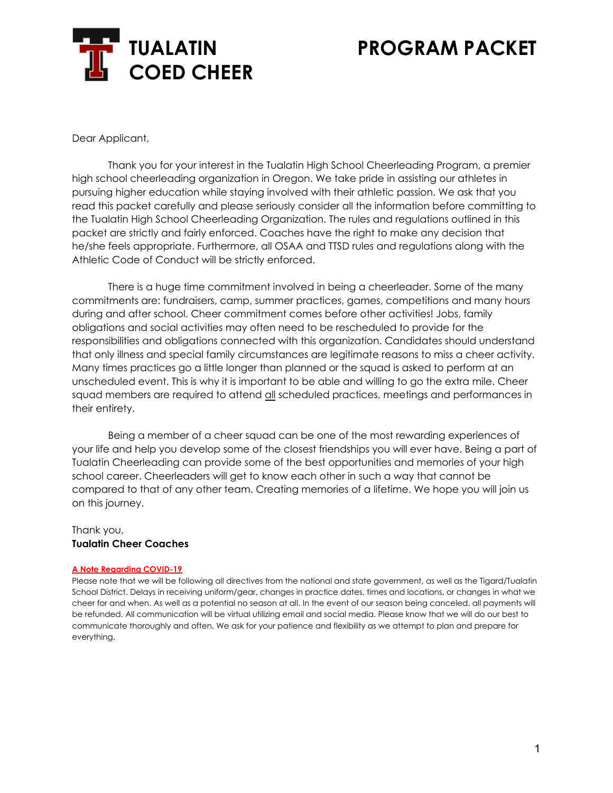

Dear Applicant,

Thank you for your interest in the Tualatin High School Cheerleading Program, a premier high school cheerleading organization in Oregon. We take pride in assisting our athletes in pursuing higher education while staying involved with their athletic passion. We ask that you read this packet carefully and please seriously consider all the information before committing to the Tualatin High School Cheerleading Organization. The rules and regulations outlined in this packet are strictly and fairly enforced. Coaches have the right to make any decision that he/she feels appropriate. Furthermore, all OSAA and TTSD rules and regulations along with the Athletic Code of Conduct will be strictly enforced.

There is a huge time commitment involved in being a cheerleader. Some of the many commitments are: fundraisers, camp, summer practices, games, competitions and many hours during and after school. Cheer commitment comes before other activities! Jobs, family obligations and social activities may often need to be rescheduled to provide for the responsibilities and obligations connected with this organization. Candidates should understand that only illness and special family circumstances are legitimate reasons to miss a cheer activity. Many times practices go a little longer than planned or the squad is asked to perform at an unscheduled event. This is why it is important to be able and willing to go the extra mile. Cheer squad members are required to attend all scheduled practices, meetings and performances in their entirety.

Being a member of a cheer squad can be one of the most rewarding experiences of your life and help you develop some of the closest friendships you will ever have. Being a part of Tualatin Cheerleading can provide some of the best opportunities and memories of your high school career. Cheerleaders will get to know each other in such a way that cannot be compared to that of any other team. Creating memories of a lifetime. We hope you will join us on this journey.

#### Thank you, **Tualatin Cheer Coaches**

#### **A Note Regarding COVID-19**

Please note that we will be following all directives from the national and state government, as well as the Tigard/Tualatin School District. Delays in receiving uniform/gear, changes in practice dates, times and locations, or changes in what we cheer for and when. As well as a potential no season at all. In the event of our season being canceled, all payments will be refunded. All communication will be virtual utilizing email and social media. Please know that we will do our best to communicate thoroughly and often. We ask for your patience and flexibility as we attempt to plan and prepare for everything.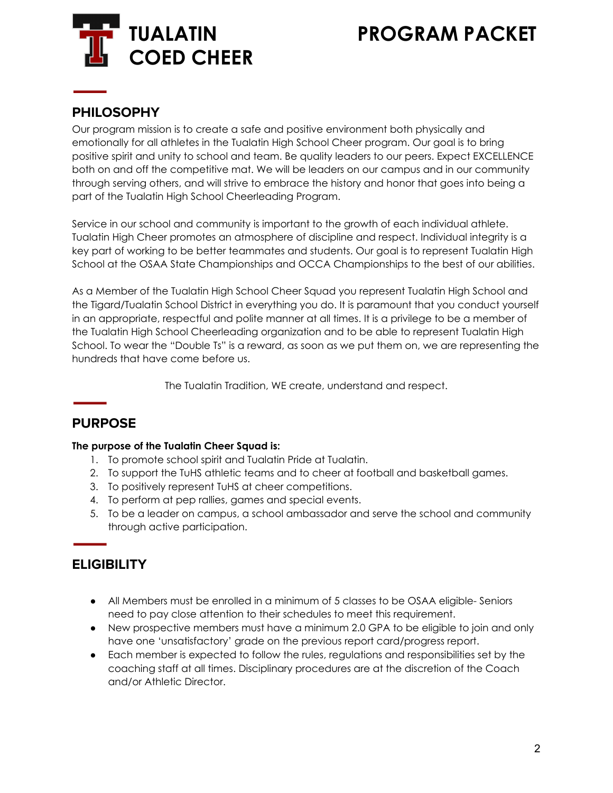

### **PHILOSOPHY**

Our program mission is to create a safe and positive environment both physically and emotionally for all athletes in the Tualatin High School Cheer program. Our goal is to bring positive spirit and unity to school and team. Be quality leaders to our peers. Expect EXCELLENCE both on and off the competitive mat. We will be leaders on our campus and in our community through serving others, and will strive to embrace the history and honor that goes into being a part of the Tualatin High School Cheerleading Program.

Service in our school and community is important to the growth of each individual athlete. Tualatin High Cheer promotes an atmosphere of discipline and respect. Individual integrity is a key part of working to be better teammates and students. Our goal is to represent Tualatin High School at the OSAA State Championships and OCCA Championships to the best of our abilities.

As a Member of the Tualatin High School Cheer Squad you represent Tualatin High School and the Tigard/Tualatin School District in everything you do. It is paramount that you conduct yourself in an appropriate, respectful and polite manner at all times. It is a privilege to be a member of the Tualatin High School Cheerleading organization and to be able to represent Tualatin High School. To wear the "Double Ts" is a reward, as soon as we put them on, we are representing the hundreds that have come before us.

The Tualatin Tradition, WE create, understand and respect.

### **PURPOSE**

#### **The purpose of the Tualatin Cheer Squad is:**

- 1. To promote school spirit and Tualatin Pride at Tualatin.
- 2. To support the TuHS athletic teams and to cheer at football and basketball games.
- 3. To positively represent TuHS at cheer competitions.
- 4. To perform at pep rallies, games and special events.
- 5. To be a leader on campus, a school ambassador and serve the school and community through active participation.

### **ELIGIBILITY**

- All Members must be enrolled in a minimum of 5 classes to be OSAA eligible- Seniors need to pay close attention to their schedules to meet this requirement.
- New prospective members must have a minimum 2.0 GPA to be eligible to join and only have one 'unsatisfactory' grade on the previous report card/progress report.
- Each member is expected to follow the rules, regulations and responsibilities set by the coaching staff at all times. Disciplinary procedures are at the discretion of the Coach and/or Athletic Director.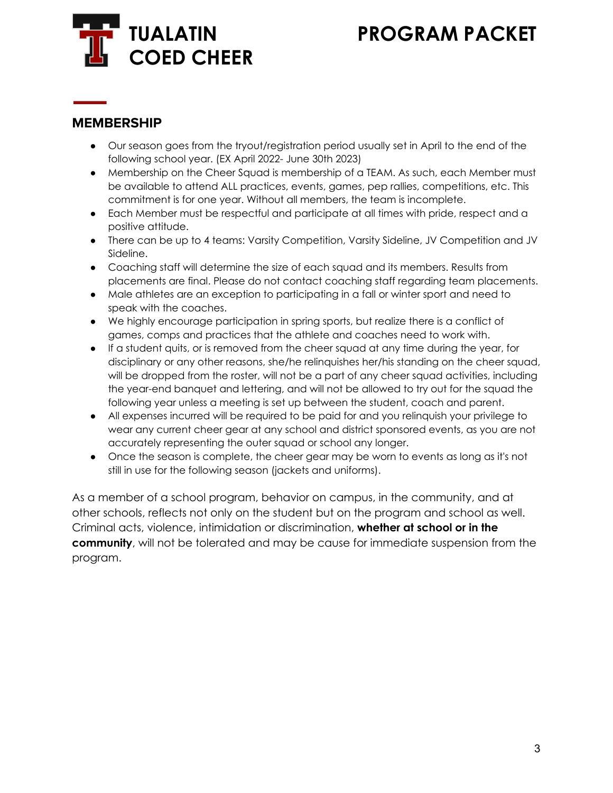

### **MEMBERSHIP**

- Our season goes from the tryout/registration period usually set in April to the end of the following school year. (EX April 2022- June 30th 2023)
- Membership on the Cheer Squad is membership of a TEAM. As such, each Member must be available to attend ALL practices, events, games, pep rallies, competitions, etc. This commitment is for one year. Without all members, the team is incomplete.
- Each Member must be respectful and participate at all times with pride, respect and a positive attitude.
- There can be up to 4 teams: Varsity Competition, Varsity Sideline, JV Competition and JV Sideline.
- Coaching staff will determine the size of each squad and its members. Results from placements are final. Please do not contact coaching staff regarding team placements.
- Male athletes are an exception to participating in a fall or winter sport and need to speak with the coaches.
- We highly encourage participation in spring sports, but realize there is a conflict of games, comps and practices that the athlete and coaches need to work with.
- If a student quits, or is removed from the cheer squad at any time during the year, for disciplinary or any other reasons, she/he relinquishes her/his standing on the cheer squad, will be dropped from the roster, will not be a part of any cheer squad activities, including the year-end banquet and lettering, and will not be allowed to try out for the squad the following year unless a meeting is set up between the student, coach and parent.
- All expenses incurred will be required to be paid for and you relinquish your privilege to wear any current cheer gear at any school and district sponsored events, as you are not accurately representing the outer squad or school any longer.
- Once the season is complete, the cheer gear may be worn to events as long as it's not still in use for the following season (jackets and uniforms).

As a member of a school program, behavior on campus, in the community, and at other schools, reflects not only on the student but on the program and school as well. Criminal acts, violence, intimidation or discrimination, **whether at school or in the community**, will not be tolerated and may be cause for immediate suspension from the program.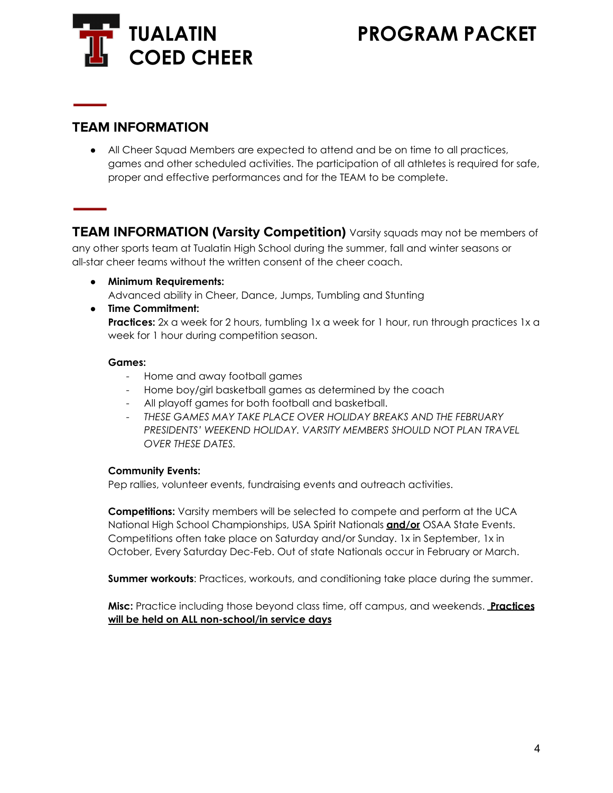

### **TEAM INFORMATION**

• All Cheer Squad Members are expected to attend and be on time to all practices, games and other scheduled activities. The participation of all athletes is required for safe, proper and effective performances and for the TEAM to be complete.

**TEAM INFORMATION (Varsity Competition)** Varsity squads may not be members of

any other sports team at Tualatin High School during the summer, fall and winter seasons or all-star cheer teams without the written consent of the cheer coach.

**● Minimum Requirements:**

Advanced ability in Cheer, Dance, Jumps, Tumbling and Stunting

● **Time Commitment: Practices:** 2x a week for 2 hours, tumbling 1x a week for 1 hour, run through practices 1x a week for 1 hour during competition season.

#### **Games:**

- Home and away football games
- Home boy/girl basketball games as determined by the coach
- All playoff games for both football and basketball.
- *THESE GAMES MAY TAKE PLACE OVER HOLIDAY BREAKS AND THE FEBRUARY PRESIDENTS' WEEKEND HOLIDAY. VARSITY MEMBERS SHOULD NOT PLAN TRAVEL OVER THESE DATES.*

#### **Community Events:**

Pep rallies, volunteer events, fundraising events and outreach activities.

**Competitions:** Varsity members will be selected to compete and perform at the UCA National High School Championships, USA Spirit Nationals **and/or** OSAA State Events. Competitions often take place on Saturday and/or Sunday. 1x in September, 1x in October, Every Saturday Dec-Feb. Out of state Nationals occur in February or March.

**Summer workouts**: Practices, workouts, and conditioning take place during the summer.

**Misc:** Practice including those beyond class time, off campus, and weekends. **Practices will be held on ALL non-school/in service days**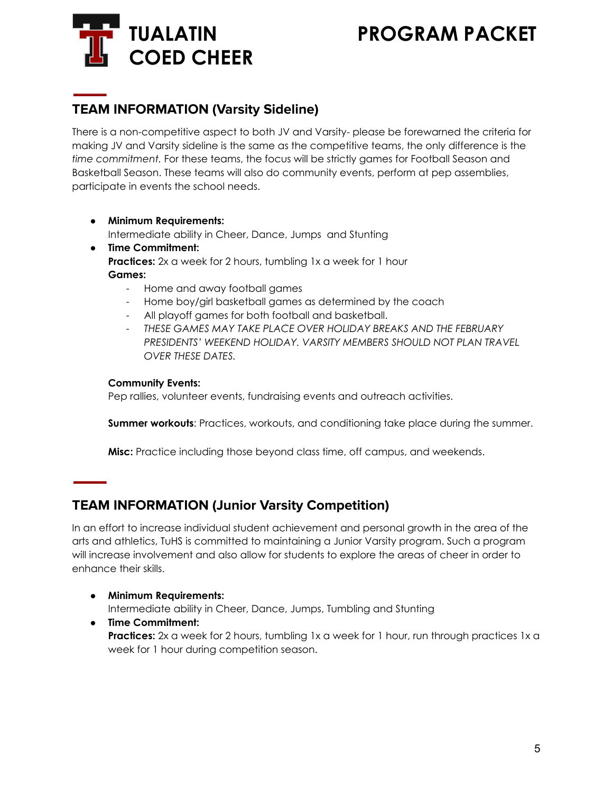# **COED CHEER**

# **TUALATIN PROGRAM PACKET**

# **TEAM INFORMATION (Varsity Sideline)**

There is a non-competitive aspect to both JV and Varsity- please be forewarned the criteria for making JV and Varsity sideline is the same as the competitive teams, the only difference is the *time commitment.* For these teams, the focus will be strictly games for Football Season and Basketball Season. These teams will also do community events, perform at pep assemblies, participate in events the school needs.

- **● Minimum Requirements:** Intermediate ability in Cheer, Dance, Jumps and Stunting
- **Time Commitment: Practices:** 2x a week for 2 hours, tumbling 1x a week for 1 hour **Games:**
	- Home and away football games
	- Home boy/girl basketball games as determined by the coach
	- All playoff games for both football and basketball.
	- *THESE GAMES MAY TAKE PLACE OVER HOLIDAY BREAKS AND THE FEBRUARY PRESIDENTS' WEEKEND HOLIDAY. VARSITY MEMBERS SHOULD NOT PLAN TRAVEL OVER THESE DATES.*

#### **Community Events:**

Pep rallies, volunteer events, fundraising events and outreach activities.

**Summer workouts**: Practices, workouts, and conditioning take place during the summer.

**Misc:** Practice including those beyond class time, off campus, and weekends.

# **TEAM INFORMATION (Junior Varsity Competition)**

In an effort to increase individual student achievement and personal growth in the area of the arts and athletics, TuHS is committed to maintaining a Junior Varsity program. Such a program will increase involvement and also allow for students to explore the areas of cheer in order to enhance their skills.

**● Minimum Requirements:**

Intermediate ability in Cheer, Dance, Jumps, Tumbling and Stunting

● **Time Commitment: Practices:** 2x a week for 2 hours, tumbling 1x a week for 1 hour, run through practices 1x a week for 1 hour during competition season.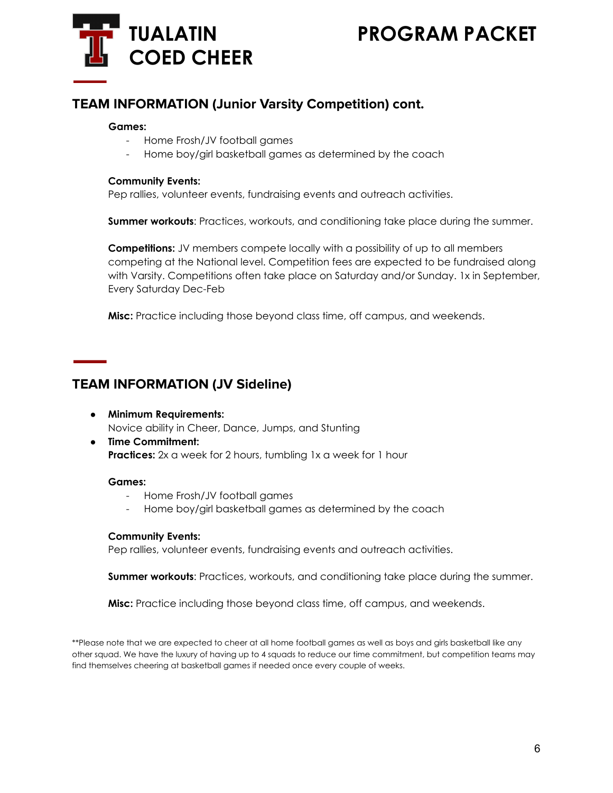

### **TEAM INFORMATION (Junior Varsity Competition) cont.**

#### **Games:**

- Home Frosh/JV football games
- Home boy/girl basketball games as determined by the coach

#### **Community Events:**

Pep rallies, volunteer events, fundraising events and outreach activities.

**Summer workouts**: Practices, workouts, and conditioning take place during the summer.

**Competitions:** JV members compete locally with a possibility of up to all members competing at the National level. Competition fees are expected to be fundraised along with Varsity. Competitions often take place on Saturday and/or Sunday. 1x in September, Every Saturday Dec-Feb

**Misc:** Practice including those beyond class time, off campus, and weekends.

### **TEAM INFORMATION (JV Sideline)**

- **● Minimum Requirements:** Novice ability in Cheer, Dance, Jumps, and Stunting
- **Time Commitment: Practices:** 2x a week for 2 hours, tumbling 1x a week for 1 hour

#### **Games:**

- Home Frosh/JV football games
- Home boy/girl basketball games as determined by the coach

#### **Community Events:**

Pep rallies, volunteer events, fundraising events and outreach activities.

**Summer workouts**: Practices, workouts, and conditioning take place during the summer.

**Misc:** Practice including those beyond class time, off campus, and weekends.

\*\*Please note that we are expected to cheer at all home football games as well as boys and girls basketball like any other squad. We have the luxury of having up to 4 squads to reduce our time commitment, but competition teams may find themselves cheering at basketball games if needed once every couple of weeks.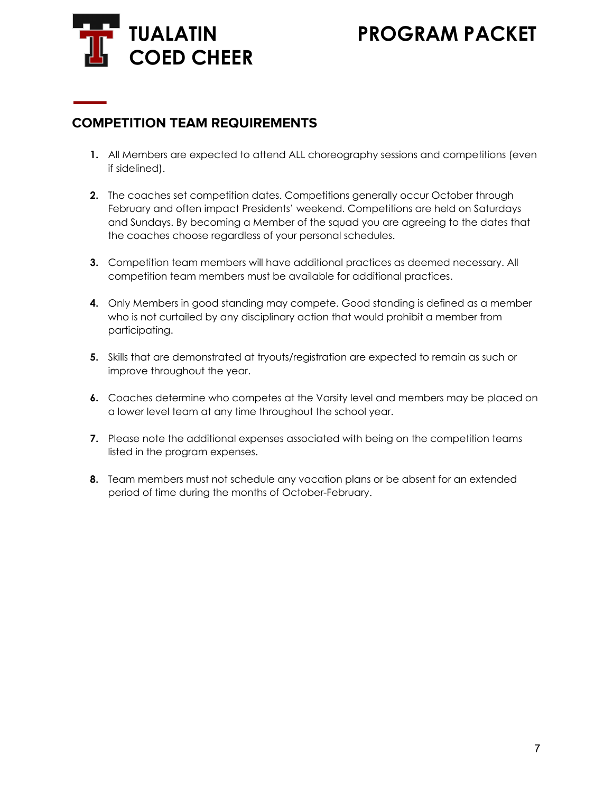

### **COMPETITION TEAM REQUIREMENTS**

- **1.** All Members are expected to attend ALL choreography sessions and competitions (even if sidelined).
- **2.** The coaches set competition dates. Competitions generally occur October through February and often impact Presidents' weekend. Competitions are held on Saturdays and Sundays. By becoming a Member of the squad you are agreeing to the dates that the coaches choose regardless of your personal schedules.
- **3.** Competition team members will have additional practices as deemed necessary. All competition team members must be available for additional practices.
- **4.** Only Members in good standing may compete. Good standing is defined as a member who is not curtailed by any disciplinary action that would prohibit a member from participating.
- **5.** Skills that are demonstrated at tryouts/registration are expected to remain as such or improve throughout the year.
- **6.** Coaches determine who competes at the Varsity level and members may be placed on a lower level team at any time throughout the school year.
- **7.** Please note the additional expenses associated with being on the competition teams listed in the program expenses.
- **8.** Team members must not schedule any vacation plans or be absent for an extended period of time during the months of October-February.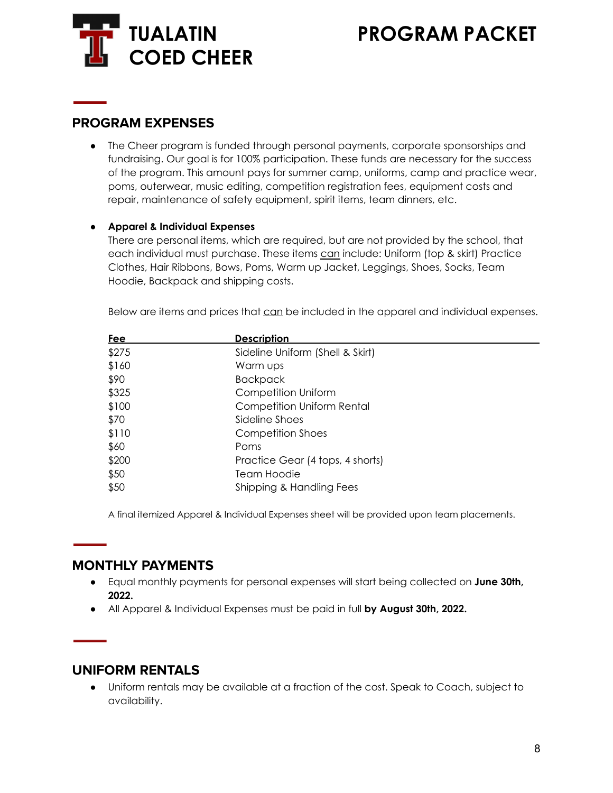

#### **PROGRAM EXPENSES**

• The Cheer program is funded through personal payments, corporate sponsorships and fundraising. Our goal is for 100% participation. These funds are necessary for the success of the program. This amount pays for summer camp, uniforms, camp and practice wear, poms, outerwear, music editing, competition registration fees, equipment costs and repair, maintenance of safety equipment, spirit items, team dinners, etc.

#### **● Apparel & Individual Expenses**

There are personal items, which are required, but are not provided by the school, that each individual must purchase. These items can include: Uniform (top & skirt) Practice Clothes, Hair Ribbons, Bows, Poms, Warm up Jacket, Leggings, Shoes, Socks, Team Hoodie, Backpack and shipping costs.

Below are items and prices that can be included in the apparel and individual expenses.

| <u>Fee</u> | <b>Description</b>                |
|------------|-----------------------------------|
| \$275      | Sideline Uniform (Shell & Skirt)  |
| \$160      | Warm ups                          |
| \$90       | <b>Backpack</b>                   |
| \$325      | Competition Uniform               |
| \$100      | <b>Competition Uniform Rental</b> |
| \$70       | Sideline Shoes                    |
| \$110      | Competition Shoes                 |
| \$60       | Poms                              |
| \$200      | Practice Gear (4 tops, 4 shorts)  |
| \$50       | Team Hoodie                       |
| \$50       | Shipping & Handling Fees          |

A final itemized Apparel & Individual Expenses sheet will be provided upon team placements.

### **MONTHLY PAYMENTS**

- Equal monthly payments for personal expenses will start being collected on **June 30th, 2022.**
- All Apparel & Individual Expenses must be paid in full **by August 30th, 2022.**

#### **UNIFORM RENTALS**

● Uniform rentals may be available at a fraction of the cost. Speak to Coach, subject to availability.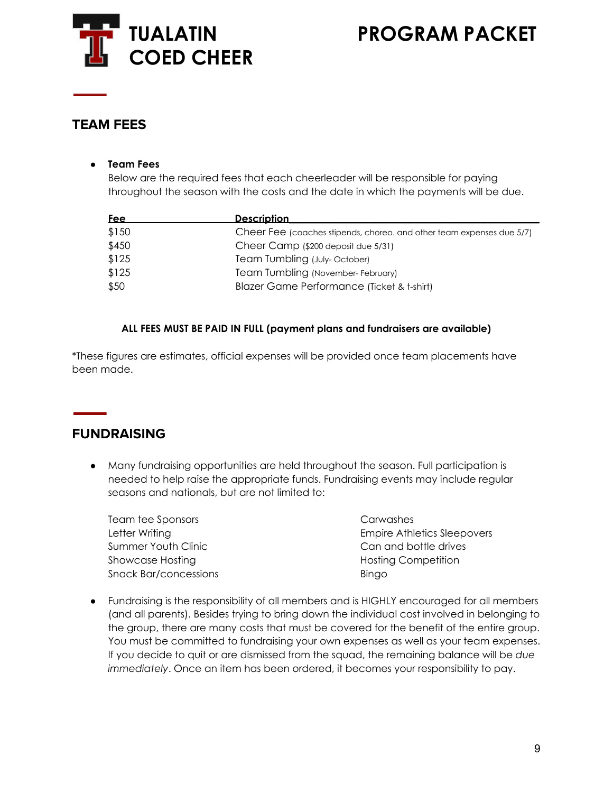

### **TEAM FEES**

#### **● Team Fees**

Below are the required fees that each cheerleader will be responsible for paying throughout the season with the costs and the date in which the payments will be due.

| <b>Fee</b> | <b>Description</b>                                                    |
|------------|-----------------------------------------------------------------------|
| \$150      | Cheer Fee (coaches stipends, choreo. and other team expenses due 5/7) |
| \$450      | Cheer Camp (\$200 deposit due 5/31)                                   |
| \$125      | Team Tumbling (July-October)                                          |
| \$125      | Team Tumbling (November-February)                                     |
| \$50       | Blazer Game Performance (Ticket & t-shirt)                            |

#### **ALL FEES MUST BE PAID IN FULL (payment plans and fundraisers are available)**

\*These figures are estimates, official expenses will be provided once team placements have been made.

### **FUNDRAISING**

● Many fundraising opportunities are held throughout the season. Full participation is needed to help raise the appropriate funds. Fundraising events may include regular seasons and nationals, but are not limited to:

| Team tee Sponsors            | Carwashes                          |
|------------------------------|------------------------------------|
| Letter Writing               | <b>Empire Athletics Sleepovers</b> |
| Summer Youth Clinic          | Can and bottle drives              |
| Showcase Hosting             | <b>Hosting Competition</b>         |
| <b>Snack Bar/concessions</b> | Bingo                              |

● Fundraising is the responsibility of all members and is HIGHLY encouraged for all members (and all parents). Besides trying to bring down the individual cost involved in belonging to the group, there are many costs that must be covered for the benefit of the entire group. You must be committed to fundraising your own expenses as well as your team expenses. If you decide to quit or are dismissed from the squad, the remaining balance will be *due immediately*. Once an item has been ordered, it becomes your responsibility to pay.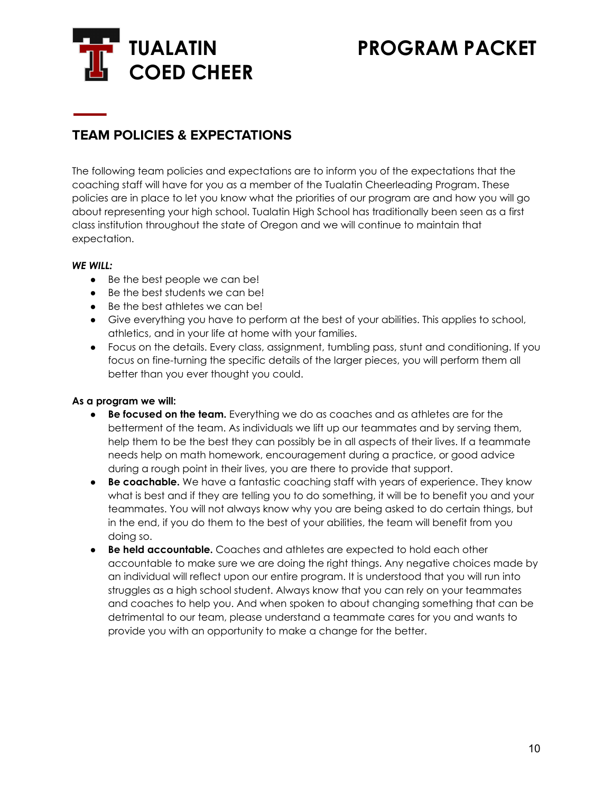

# **TEAM POLICIES & EXPECTATIONS**

The following team policies and expectations are to inform you of the expectations that the coaching staff will have for you as a member of the Tualatin Cheerleading Program. These policies are in place to let you know what the priorities of our program are and how you will go about representing your high school. Tualatin High School has traditionally been seen as a first class institution throughout the state of Oregon and we will continue to maintain that expectation.

#### *WE WILL:*

- Be the best people we can be!
- Be the best students we can be!
- Be the best athletes we can be!
- Give everything you have to perform at the best of your abilities. This applies to school, athletics, and in your life at home with your families.
- Focus on the details. Every class, assignment, tumbling pass, stunt and conditioning. If you focus on fine-turning the specific details of the larger pieces, you will perform them all better than you ever thought you could.

#### **As a program we will:**

- **Be focused on the team.** Everything we do as coaches and as athletes are for the betterment of the team. As individuals we lift up our teammates and by serving them, help them to be the best they can possibly be in all aspects of their lives. If a teammate needs help on math homework, encouragement during a practice, or good advice during a rough point in their lives, you are there to provide that support.
- **Be coachable.** We have a fantastic coaching staff with years of experience. They know what is best and if they are telling you to do something, it will be to benefit you and your teammates. You will not always know why you are being asked to do certain things, but in the end, if you do them to the best of your abilities, the team will benefit from you doing so.
- **Be held accountable.** Coaches and athletes are expected to hold each other accountable to make sure we are doing the right things. Any negative choices made by an individual will reflect upon our entire program. It is understood that you will run into struggles as a high school student. Always know that you can rely on your teammates and coaches to help you. And when spoken to about changing something that can be detrimental to our team, please understand a teammate cares for you and wants to provide you with an opportunity to make a change for the better.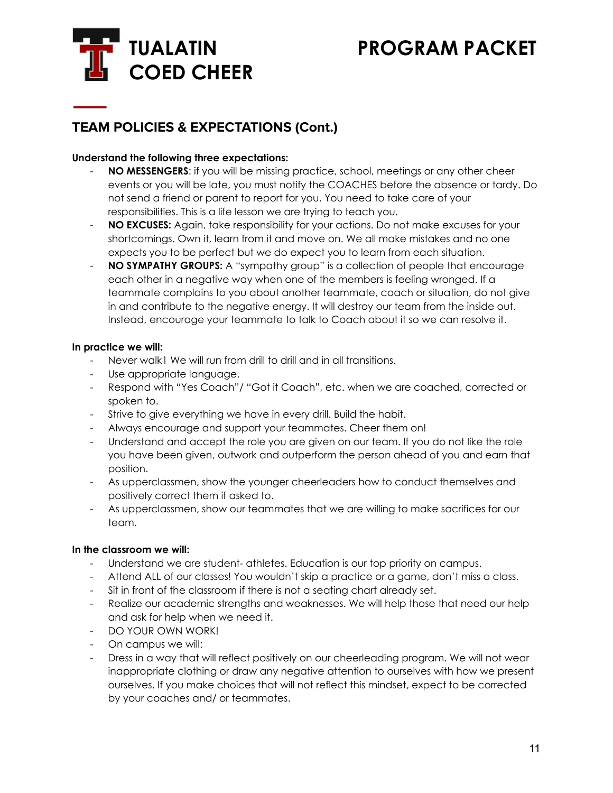

# **TEAM POLICIES & EXPECTATIONS (Cont.)**

#### **Understand the following three expectations:**

- **NO MESSENGERS:** if you will be missing practice, school, meetings or any other cheer events or you will be late, you must notify the COACHES before the absence or tardy. Do not send a friend or parent to report for you. You need to take care of your responsibilities. This is a life lesson we are trying to teach you.
- **NO EXCUSES:** Again, take responsibility for your actions. Do not make excuses for your shortcomings. Own it, learn from it and move on. We all make mistakes and no one expects you to be perfect but we do expect you to learn from each situation.
- **NO SYMPATHY GROUPS:** A "sympathy group" is a collection of people that encourage each other in a negative way when one of the members is feeling wronged. If a teammate complains to you about another teammate, coach or situation, do not give in and contribute to the negative energy. It will destroy our team from the inside out. Instead, encourage your teammate to talk to Coach about it so we can resolve it.

#### **In practice we will:**

- Never walk1 We will run from drill to drill and in all transitions.
- Use appropriate language.
- Respond with "Yes Coach"/ "Got it Coach", etc. when we are coached, corrected or spoken to.
- Strive to give everything we have in every drill. Build the habit.
- Always encourage and support your teammates. Cheer them on!
- Understand and accept the role you are given on our team. If you do not like the role you have been given, outwork and outperform the person ahead of you and earn that position.
- As upperclassmen, show the younger cheerleaders how to conduct themselves and positively correct them if asked to.
- As upperclassmen, show our teammates that we are willing to make sacrifices for our team.

#### **In the classroom we will:**

- Understand we are student- athletes. Education is our top priority on campus.
- Attend ALL of our classes! You wouldn't skip a practice or a game, don't miss a class.
- Sit in front of the classroom if there is not a seating chart already set.
- Realize our academic strengths and weaknesses. We will help those that need our help and ask for help when we need it.
- DO YOUR OWN WORK!
- On campus we will:
- Dress in a way that will reflect positively on our cheerleading program. We will not wear inappropriate clothing or draw any negative attention to ourselves with how we present ourselves. If you make choices that will not reflect this mindset, expect to be corrected by your coaches and/ or teammates.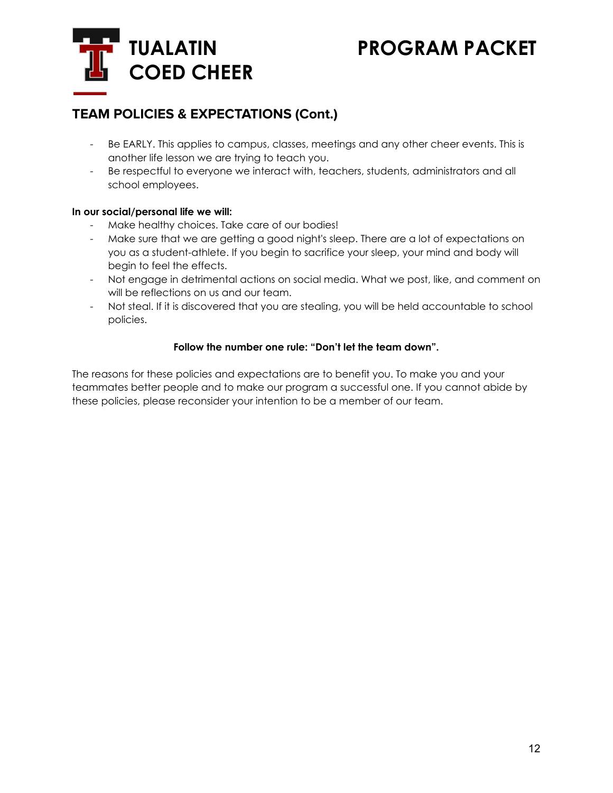

# **TEAM POLICIES & EXPECTATIONS (Cont.)**

- Be EARLY. This applies to campus, classes, meetings and any other cheer events. This is another life lesson we are trying to teach you.
- Be respectful to everyone we interact with, teachers, students, administrators and all school employees.

#### **In our social/personal life we will:**

- Make healthy choices. Take care of our bodies!
- Make sure that we are getting a good night's sleep. There are a lot of expectations on you as a student-athlete. If you begin to sacrifice your sleep, your mind and body will begin to feel the effects.
- Not engage in detrimental actions on social media. What we post, like, and comment on will be reflections on us and our team.
- Not steal. If it is discovered that you are stealing, you will be held accountable to school policies.

#### **Follow the number one rule: "Don't let the team down".**

The reasons for these policies and expectations are to benefit you. To make you and your teammates better people and to make our program a successful one. If you cannot abide by these policies, please reconsider your intention to be a member of our team.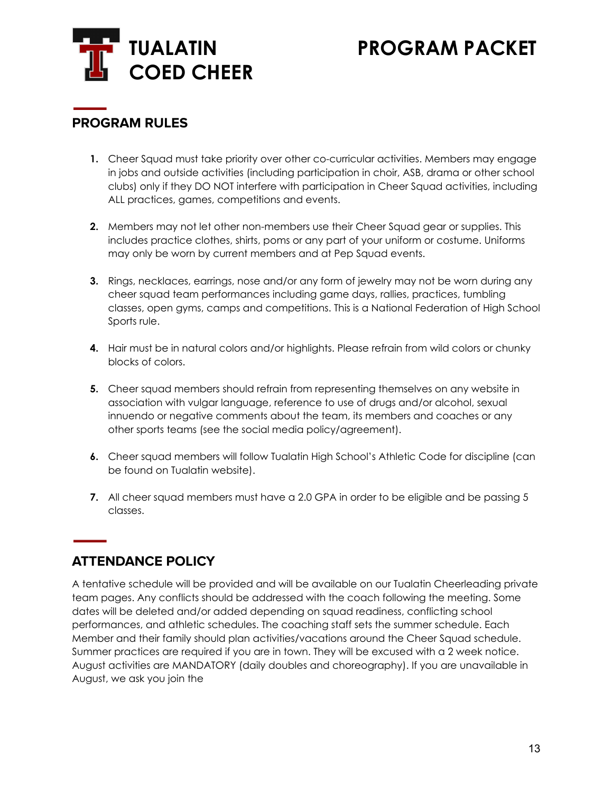

# **PROGRAM RULES**

- **1.** Cheer Squad must take priority over other co-curricular activities. Members may engage in jobs and outside activities (including participation in choir, ASB, drama or other school clubs) only if they DO NOT interfere with participation in Cheer Squad activities, including ALL practices, games, competitions and events.
- **2.** Members may not let other non-members use their Cheer Squad gear or supplies. This includes practice clothes, shirts, poms or any part of your uniform or costume. Uniforms may only be worn by current members and at Pep Squad events.
- **3.** Rings, necklaces, earrings, nose and/or any form of jewelry may not be worn during any cheer squad team performances including game days, rallies, practices, tumbling classes, open gyms, camps and competitions. This is a National Federation of High School Sports rule.
- **4.** Hair must be in natural colors and/or highlights. Please refrain from wild colors or chunky blocks of colors.
- **5.** Cheer squad members should refrain from representing themselves on any website in association with vulgar language, reference to use of drugs and/or alcohol, sexual innuendo or negative comments about the team, its members and coaches or any other sports teams (see the social media policy/agreement).
- **6.** Cheer squad members will follow Tualatin High School's Athletic Code for discipline (can be found on Tualatin website).
- **7.** All cheer squad members must have a 2.0 GPA in order to be eligible and be passing 5 classes.

# **ATTENDANCE POLICY**

A tentative schedule will be provided and will be available on our Tualatin Cheerleading private team pages. Any conflicts should be addressed with the coach following the meeting. Some dates will be deleted and/or added depending on squad readiness, conflicting school performances, and athletic schedules. The coaching staff sets the summer schedule. Each Member and their family should plan activities/vacations around the Cheer Squad schedule. Summer practices are required if you are in town. They will be excused with a 2 week notice. August activities are MANDATORY (daily doubles and choreography). If you are unavailable in August, we ask you join the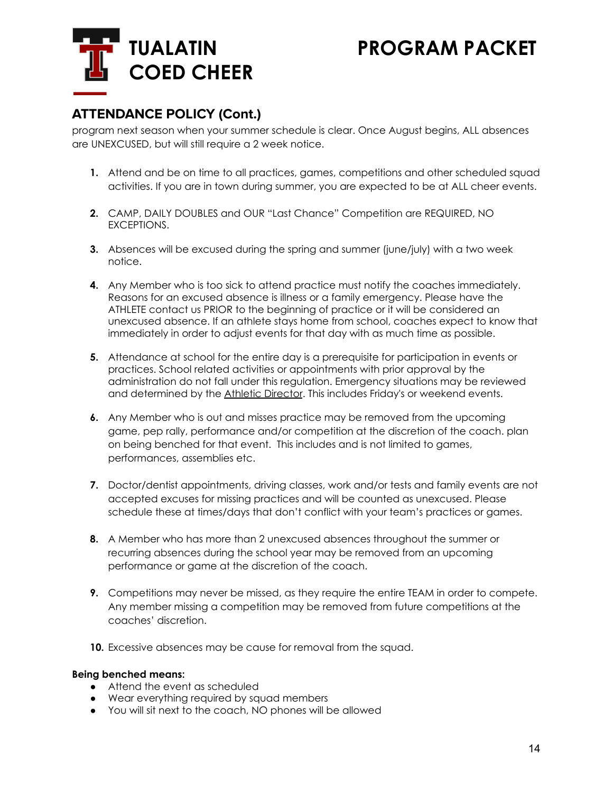

# **ATTENDANCE POLICY (Cont.)**

program next season when your summer schedule is clear. Once August begins, ALL absences are UNEXCUSED, but will still require a 2 week notice.

- **1.** Attend and be on time to all practices, games, competitions and other scheduled squad activities. If you are in town during summer, you are expected to be at ALL cheer events.
- **2.** CAMP, DAILY DOUBLES and OUR "Last Chance" Competition are REQUIRED, NO EXCEPTIONS.
- **3.** Absences will be excused during the spring and summer (june/july) with a two week notice.
- **4.** Any Member who is too sick to attend practice must notify the coaches immediately. Reasons for an excused absence is illness or a family emergency. Please have the ATHLETE contact us PRIOR to the beginning of practice or it will be considered an unexcused absence. If an athlete stays home from school, coaches expect to know that immediately in order to adjust events for that day with as much time as possible.
- **5.** Attendance at school for the entire day is a prerequisite for participation in events or practices. School related activities or appointments with prior approval by the administration do not fall under this regulation. Emergency situations may be reviewed and determined by the Athletic Director. This includes Friday's or weekend events.
- **6.** Any Member who is out and misses practice may be removed from the upcoming game, pep rally, performance and/or competition at the discretion of the coach. plan on being benched for that event. This includes and is not limited to games, performances, assemblies etc.
- **7.** Doctor/dentist appointments, driving classes, work and/or tests and family events are not accepted excuses for missing practices and will be counted as unexcused. Please schedule these at times/days that don't conflict with your team's practices or games.
- **8.** A Member who has more than 2 unexcused absences throughout the summer or recurring absences during the school year may be removed from an upcoming performance or game at the discretion of the coach.
- **9.** Competitions may never be missed, as they require the entire TEAM in order to compete. Any member missing a competition may be removed from future competitions at the coaches' discretion.
- **10.** Excessive absences may be cause for removal from the squad.

#### **Being benched means:**

- Attend the event as scheduled
- Wear everything required by squad members
- You will sit next to the coach, NO phones will be allowed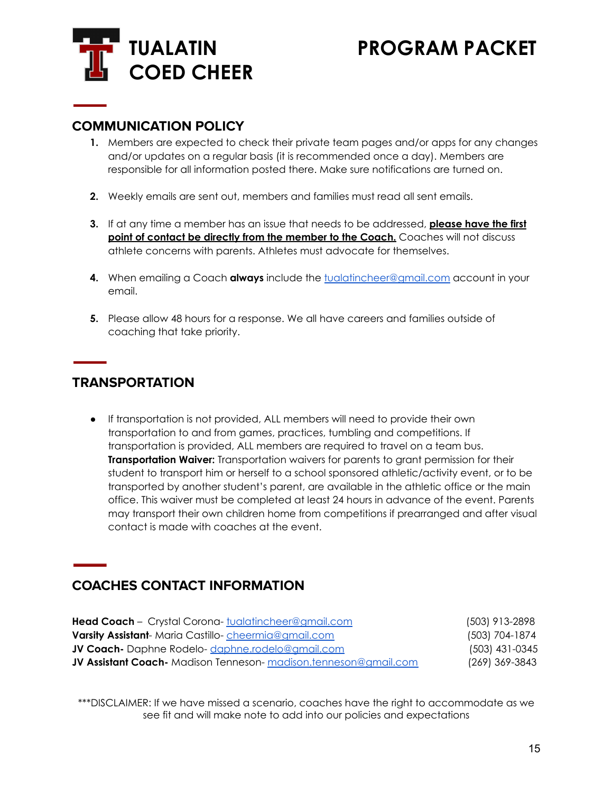

### **COMMUNICATION POLICY**

- **1.** Members are expected to check their private team pages and/or apps for any changes and/or updates on a regular basis (it is recommended once a day). Members are responsible for all information posted there. Make sure notifications are turned on.
- **2.** Weekly emails are sent out, members and families must read all sent emails.
- **3.** If at any time a member has an issue that needs to be addressed, **please have the first point of contact be directly from the member to the Coach.** Coaches will not discuss athlete concerns with parents. Athletes must advocate for themselves.
- **4.** When emailing a Coach **always** include the [tualatincheer@gmail.com](mailto:tualatincheer@gmail.com) account in your email.
- **5.** Please allow 48 hours for a response. We all have careers and families outside of coaching that take priority.

### **TRANSPORTATION**

● If transportation is not provided, ALL members will need to provide their own transportation to and from games, practices, tumbling and competitions. If transportation is provided, ALL members are required to travel on a team bus. **Transportation Waiver:** Transportation waivers for parents to grant permission for their student to transport him or herself to a school sponsored athletic/activity event, or to be transported by another student's parent, are available in the athletic office or the main office. This waiver must be completed at least 24 hours in advance of the event. Parents may transport their own children home from competitions if prearranged and after visual contact is made with coaches at the event.

# **COACHES CONTACT INFORMATION**

| Head Coach - Crystal Corona- tualatincheer@amail.com                    | (503) 913-2898   |
|-------------------------------------------------------------------------|------------------|
| <b>Varsity Assistant-</b> Maria Castillo-cheermia@gmail.com             | (503) 704-1874   |
| JV Coach- Daphne Rodelo-daphne.rodelo@amail.com                         | $(503)$ 431-0345 |
| <b>JV Assistant Coach-</b> Madison Tenneson- madison.tenneson@gmail.com | (269) 369-3843   |

\*\*\*DISCLAIMER: If we have missed a scenario, coaches have the right to accommodate as we see fit and will make note to add into our policies and expectations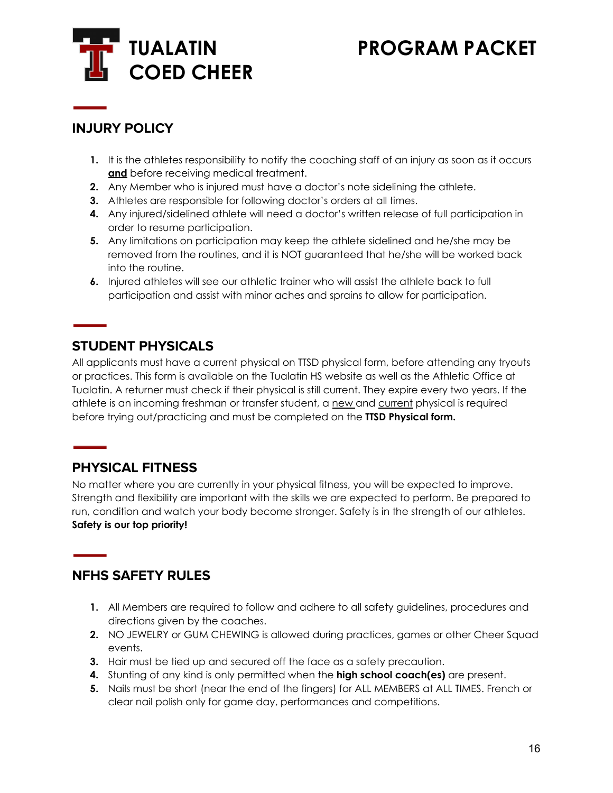

# **INJURY POLICY**

- **1.** It is the athletes responsibility to notify the coaching staff of an injury as soon as it occurs **and** before receiving medical treatment.
- **2.** Any Member who is injured must have a doctor's note sidelining the athlete.
- **3.** Athletes are responsible for following doctor's orders at all times.
- **4.** Any injured/sidelined athlete will need a doctor's written release of full participation in order to resume participation.
- **5.** Any limitations on participation may keep the athlete sidelined and he/she may be removed from the routines, and it is NOT guaranteed that he/she will be worked back into the routine.
- **6.** Injured athletes will see our athletic trainer who will assist the athlete back to full participation and assist with minor aches and sprains to allow for participation.

# **STUDENT PHYSICALS**

All applicants must have a current physical on TTSD physical form, before attending any tryouts or practices. This form is available on the Tualatin HS website as well as the Athletic Office at Tualatin. A returner must check if their physical is still current. They expire every two years. If the athlete is an incoming freshman or transfer student, a new and current physical is required before trying out/practicing and must be completed on the **TTSD Physical form.**

# **PHYSICAL FITNESS**

No matter where you are currently in your physical fitness, you will be expected to improve. Strength and flexibility are important with the skills we are expected to perform. Be prepared to run, condition and watch your body become stronger. Safety is in the strength of our athletes. **Safety is our top priority!**

# **NFHS SAFETY RULES**

- **1.** All Members are required to follow and adhere to all safety guidelines, procedures and directions given by the coaches.
- **2.** NO JEWELRY or GUM CHEWING is allowed during practices, games or other Cheer Squad events.
- **3.** Hair must be tied up and secured off the face as a safety precaution.
- **4.** Stunting of any kind is only permitted when the **high school coach(es)** are present.
- **5.** Nails must be short (near the end of the fingers) for ALL MEMBERS at ALL TIMES. French or clear nail polish only for game day, performances and competitions.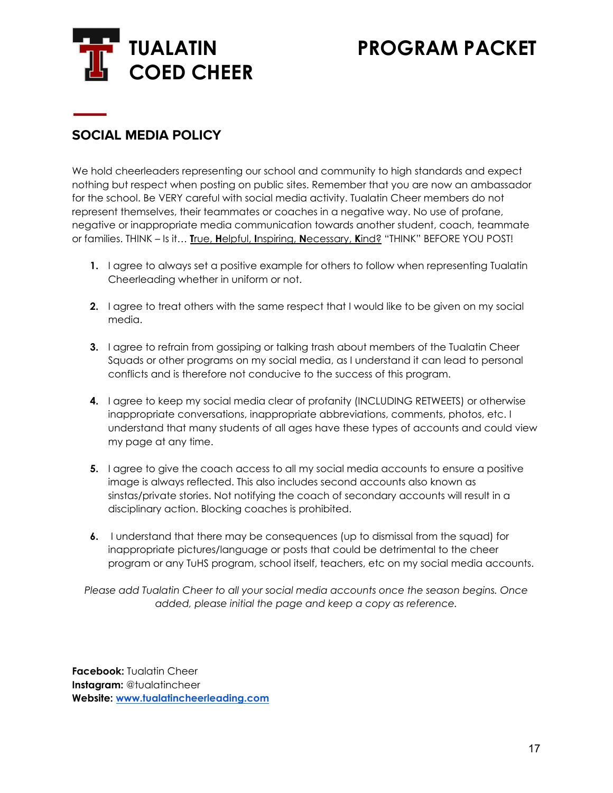

# **SOCIAL MEDIA POLICY**

We hold cheerleaders representing our school and community to high standards and expect nothing but respect when posting on public sites. Remember that you are now an ambassador for the school. Be VERY careful with social media activity. Tualatin Cheer members do not represent themselves, their teammates or coaches in a negative way. No use of profane, negative or inappropriate media communication towards another student, coach, teammate or families. THINK – Is it… **T**rue, **H**elpful, **I**nspiring, **N**ecessary, **K**ind? "THINK" BEFORE YOU POST!

- **1.** I agree to always set a positive example for others to follow when representing Tualatin Cheerleading whether in uniform or not.
- **2.** I agree to treat others with the same respect that I would like to be given on my social media.
- **3.** I agree to refrain from gossiping or talking trash about members of the Tualatin Cheer Squads or other programs on my social media, as I understand it can lead to personal conflicts and is therefore not conducive to the success of this program.
- **4.** I agree to keep my social media clear of profanity (INCLUDING RETWEETS) or otherwise inappropriate conversations, inappropriate abbreviations, comments, photos, etc. I understand that many students of all ages have these types of accounts and could view my page at any time.
- **5.** I agree to give the coach access to all my social media accounts to ensure a positive image is always reflected. This also includes second accounts also known as sinstas/private stories. Not notifying the coach of secondary accounts will result in a disciplinary action. Blocking coaches is prohibited.
- **6.** I understand that there may be consequences (up to dismissal from the squad) for inappropriate pictures/language or posts that could be detrimental to the cheer program or any TuHS program, school itself, teachers, etc on my social media accounts.

*Please add Tualatin Cheer to all your social media accounts once the season begins. Once added, please initial the page and keep a copy as reference.*

**Facebook:** Tualatin Cheer **Instagram:** @tualatincheer **Website: [www.tualatincheerleading.com](http://www.tualatincheerleading.com)**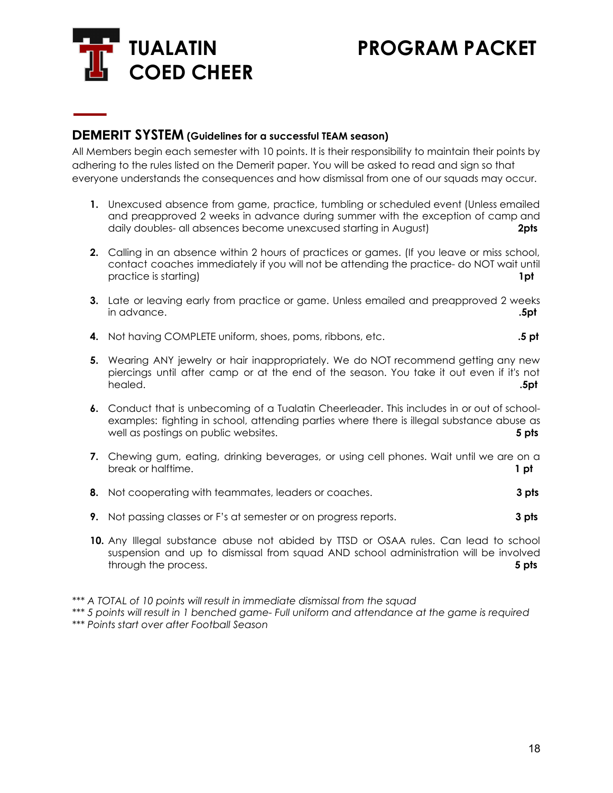

### **DEMERIT SYSTEM (Guidelines for <sup>a</sup> successful TEAM season)**

All Members begin each semester with 10 points. It is their responsibility to maintain their points by adhering to the rules listed on the Demerit paper. You will be asked to read and sign so that everyone understands the consequences and how dismissal from one of our squads may occur.

- **1.** Unexcused absence from game, practice, tumbling or scheduled event (Unless emailed and preapproved 2 weeks in advance during summer with the exception of camp and daily doubles- all absences become unexcused starting in August) **2pts**
- **2.** Calling in an absence within 2 hours of practices or games. (If you leave or miss school, contact coaches immediately if you will not be attending the practice- do NOT wait until practice is starting) **1pt**
- **3.** Late or leaving early from practice or game. Unless emailed and preapproved 2 weeks in advance. **.5pt**
- **4.** Not having COMPLETE uniform, shoes, poms, ribbons, etc. **.5 pt**
- **5.** Wearing ANY jewelry or hair inappropriately. We do NOT recommend getting any new piercings until after camp or at the end of the season. You take it out even if it's not healed. **.5pt**
- **6.** Conduct that is unbecoming of a Tualatin Cheerleader. This includes in or out of schoolexamples: fighting in school, attending parties where there is illegal substance abuse as well as postings on public websites. **5 pts**
- **7.** Chewing gum, eating, drinking beverages, or using cell phones. Wait until we are on a break or halftime. **1 pt**
- **8.** Not cooperating with teammates, leaders or coaches. **3 pts**
- **9.** Not passing classes or F's at semester or on progress reports. **3 pts**
- **10.** Any Illegal substance abuse not abided by TTSD or OSAA rules. Can lead to school suspension and up to dismissal from squad AND school administration will be involved through the process. **5 pts**

*<sup>\*\*\*</sup> A TOTAL of 10 points will result in immediate dismissal from the squad*

*<sup>\*\*\*</sup> 5 points will result in 1 benched game- Full uniform and attendance at the game is required \*\*\* Points start over after Football Season*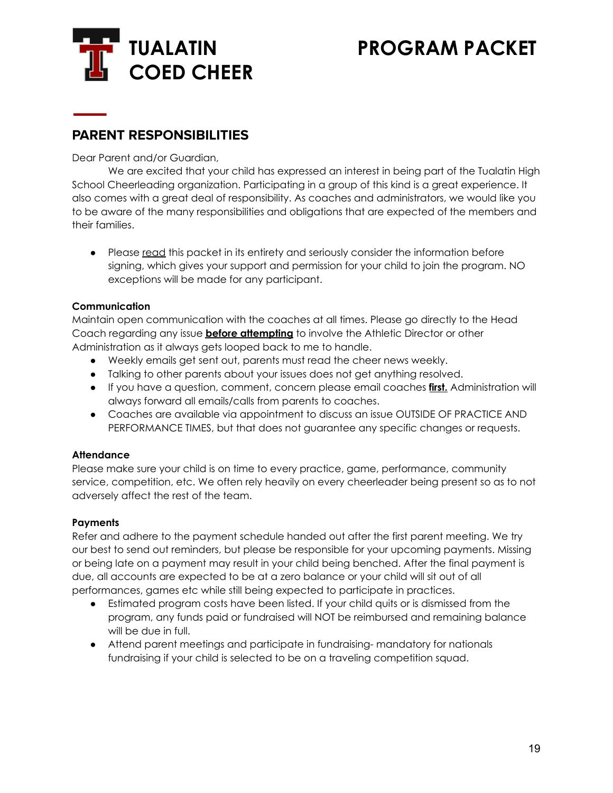

# **PARENT RESPONSIBILITIES**

Dear Parent and/or Guardian,

We are excited that your child has expressed an interest in being part of the Tualatin High School Cheerleading organization. Participating in a group of this kind is a great experience. It also comes with a great deal of responsibility. As coaches and administrators, we would like you to be aware of the many responsibilities and obligations that are expected of the members and their families.

• Please read this packet in its entirety and seriously consider the information before signing, which gives your support and permission for your child to join the program. NO exceptions will be made for any participant.

#### **Communication**

Maintain open communication with the coaches at all times. Please go directly to the Head Coach regarding any issue **before attempting** to involve the Athletic Director or other Administration as it always gets looped back to me to handle.

- Weekly emails get sent out, parents must read the cheer news weekly.
- Talking to other parents about your issues does not get anything resolved.
- If you have a question, comment, concern please email coaches **first.** Administration will always forward all emails/calls from parents to coaches.
- Coaches are available via appointment to discuss an issue OUTSIDE OF PRACTICE AND PERFORMANCE TIMES, but that does not guarantee any specific changes or requests.

#### **Attendance**

Please make sure your child is on time to every practice, game, performance, community service, competition, etc. We often rely heavily on every cheerleader being present so as to not adversely affect the rest of the team.

#### **Payments**

Refer and adhere to the payment schedule handed out after the first parent meeting. We try our best to send out reminders, but please be responsible for your upcoming payments. Missing or being late on a payment may result in your child being benched. After the final payment is due, all accounts are expected to be at a zero balance or your child will sit out of all performances, games etc while still being expected to participate in practices.

- Estimated program costs have been listed. If your child quits or is dismissed from the program, any funds paid or fundraised will NOT be reimbursed and remaining balance will be due in full.
- Attend parent meetings and participate in fundraising- mandatory for nationals fundraising if your child is selected to be on a traveling competition squad.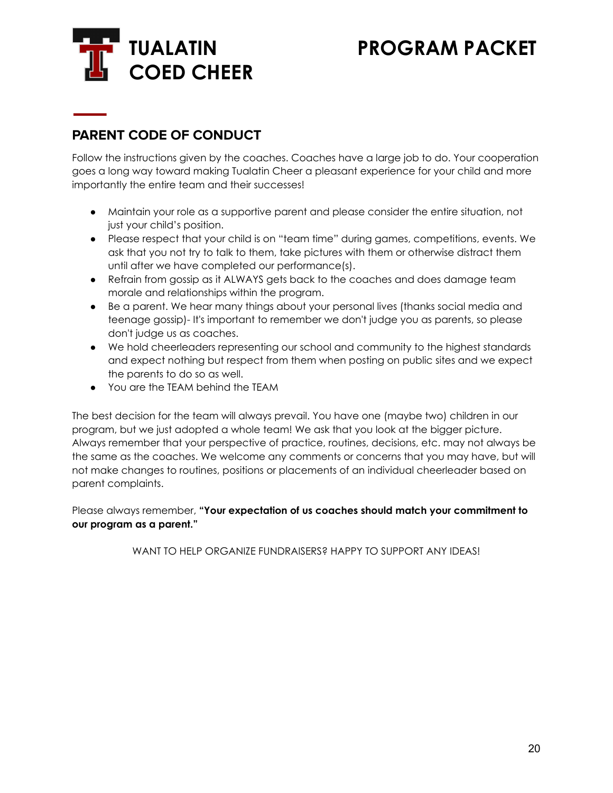

# **PARENT CODE OF CONDUCT**

Follow the instructions given by the coaches. Coaches have a large job to do. Your cooperation goes a long way toward making Tualatin Cheer a pleasant experience for your child and more importantly the entire team and their successes!

- Maintain your role as a supportive parent and please consider the entire situation, not just your child's position.
- Please respect that your child is on "team time" during games, competitions, events. We ask that you not try to talk to them, take pictures with them or otherwise distract them until after we have completed our performance(s).
- Refrain from gossip as it ALWAYS gets back to the coaches and does damage team morale and relationships within the program.
- Be a parent. We hear many things about your personal lives (thanks social media and teenage gossip)- It's important to remember we don't judge you as parents, so please don't judge us as coaches.
- We hold cheerleaders representing our school and community to the highest standards and expect nothing but respect from them when posting on public sites and we expect the parents to do so as well.
- You are the TEAM behind the TEAM

The best decision for the team will always prevail. You have one (maybe two) children in our program, but we just adopted a whole team! We ask that you look at the bigger picture. Always remember that your perspective of practice, routines, decisions, etc. may not always be the same as the coaches. We welcome any comments or concerns that you may have, but will not make changes to routines, positions or placements of an individual cheerleader based on parent complaints.

Please always remember, **"Your expectation of us coaches should match your commitment to our program as a parent."**

WANT TO HELP ORGANIZE FUNDRAISERS? HAPPY TO SUPPORT ANY IDEAS!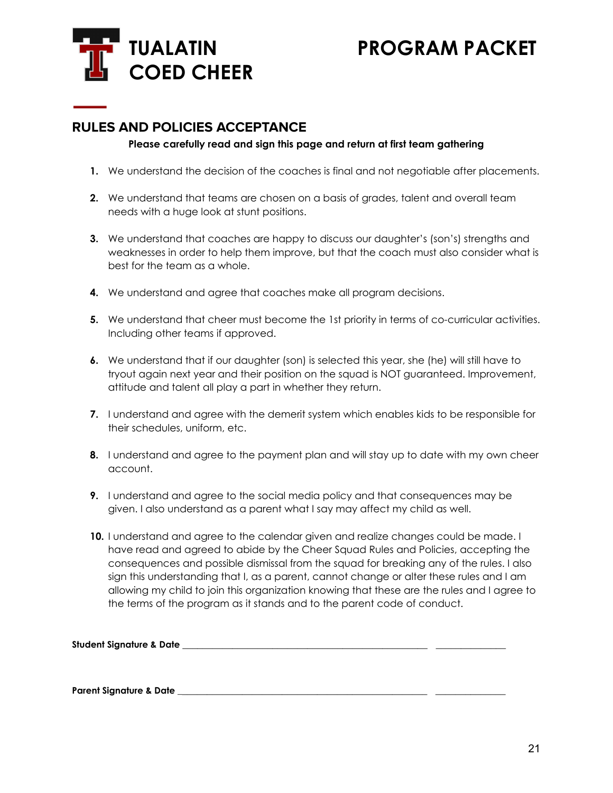

### **RULES AND POLICIES ACCEPTANCE**

#### **Please carefully read and sign this page and return at first team gathering**

- **1.** We understand the decision of the coaches is final and not negotiable after placements.
- **2.** We understand that teams are chosen on a basis of grades, talent and overall team needs with a huge look at stunt positions.
- **3.** We understand that coaches are happy to discuss our daughter's (son's) strengths and weaknesses in order to help them improve, but that the coach must also consider what is best for the team as a whole.
- **4.** We understand and agree that coaches make all program decisions.
- **5.** We understand that cheer must become the 1st priority in terms of co-curricular activities. Including other teams if approved.
- **6.** We understand that if our daughter (son) is selected this year, she (he) will still have to tryout again next year and their position on the squad is NOT guaranteed. Improvement, attitude and talent all play a part in whether they return.
- **7.** I understand and agree with the demerit system which enables kids to be responsible for their schedules, uniform, etc.
- **8.** I understand and agree to the payment plan and will stay up to date with my own cheer account.
- **9.** I understand and agree to the social media policy and that consequences may be given. I also understand as a parent what I say may affect my child as well.
- **10.** I understand and agree to the calendar given and realize changes could be made. I have read and agreed to abide by the Cheer Squad Rules and Policies, accepting the consequences and possible dismissal from the squad for breaking any of the rules. I also sign this understanding that I, as a parent, cannot change or alter these rules and I am allowing my child to join this organization knowing that these are the rules and I agree to the terms of the program as it stands and to the parent code of conduct.

| Student Signature & Date j |  |
|----------------------------|--|
|                            |  |

**Parent Signature & Date \_**\_\_\_\_\_\_\_\_\_\_\_\_\_\_\_\_\_\_\_\_\_\_\_\_\_\_\_\_\_\_\_\_\_\_\_\_\_\_\_\_\_\_\_\_\_\_\_\_\_ \_\_\_\_\_\_\_\_\_\_\_\_\_\_